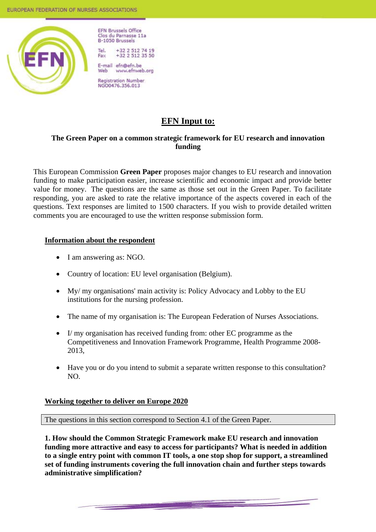

**EFN Brussels Office** Clos du Parnasse 11a **B-1050 Brussels** 

Tel. +32 2 512 74 19<br>+32 2 512 35 50 Fax

E-mail efn@efn.be www.efnweb.org Web

**Registration Number** NG00476.356.013

# **EFN Input to:**

# **The Green Paper on a common strategic framework for EU research and innovation funding**

 This European Commission **Green Paper** proposes major changes to EU research and innovation funding to make participation easier, increase scientific and economic impact and provide better value for money. The questions are the same as those set out in the Green Paper. To facilitate responding, you are asked to rate the relative importance of the aspects covered in each of the questions. Text responses are limited to 1500 characters. If you wish to provide detailed written comments you are encouraged to use the written response submission form.

# **Information about the respondent**

- I am answering as: NGO.
- Country of location: EU level organisation (Belgium).
- My/ my organisations' main activity is: Policy Advocacy and Lobby to the EU institutions for the nursing profession.
- The name of my organisation is: The European Federation of Nurses Associations.
- I/ my organisation has received funding from: other EC programme as the Competitiveness and Innovation Framework Programme, Health Programme 2008- 2013,
- Have you or do you intend to submit a separate written response to this consultation? NO.

# **Working together to deliver on Europe 2020**

The questions in this section correspond to Section 4.1 of the Green Paper.

**1. How should the Common Strategic Framework make EU research and innovation funding more attractive and easy to access for participants? What is needed in addition to a single entry point with common IT tools, a one stop shop for support, a streamlined set of funding instruments covering the full innovation chain and further steps towards administrative simplification?**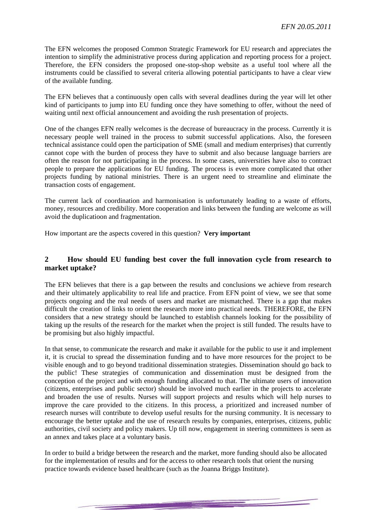The EFN welcomes the proposed Common Strategic Framework for EU research and appreciates the intention to simplify the administrative process during application and reporting process for a project. Therefore, the EFN considers the proposed one-stop-shop website as a useful tool where all the instruments could be classified to several criteria allowing potential participants to have a clear view of the available funding.

The EFN believes that a continuously open calls with several deadlines during the year will let other kind of participants to jump into EU funding once they have something to offer, without the need of waiting until next official announcement and avoiding the rush presentation of projects.

One of the changes EFN really welcomes is the decrease of bureaucracy in the process. Currently it is necessary people well trained in the process to submit successful applications. Also, the foreseen technical assistance could open the participation of SME (small and medium enterprises) that currently cannot cope with the burden of process they have to submit and also because language barriers are often the reason for not participating in the process. In some cases, universities have also to contract people to prepare the applications for EU funding. The process is even more complicated that other projects funding by national ministries. There is an urgent need to streamline and eliminate the transaction costs of engagement.

The current lack of coordination and harmonisation is unfortunately leading to a waste of efforts, money, resources and credibility. More cooperation and links between the funding are welcome as will avoid the duplicatioon and fragmentation.

How important are the aspects covered in this question? **Very important** 

#### **2 How should EU funding best cover the full innovation cycle from research to market uptake?**

The EFN believes that there is a gap between the results and conclusions we achieve from research and their ultimately applicability to real life and practice. From EFN point of view, we see that some projects ongoing and the real needs of users and market are mismatched. There is a gap that makes difficult the creation of links to orient the research more into practical needs. THEREFORE, the EFN considers that a new strategy should be launched to establish channels looking for the possibility of taking up the results of the research for the market when the project is still funded. The results have to be promising but also highly impactful.

In that sense, to communicate the research and make it available for the public to use it and implement it, it is crucial to spread the dissemination funding and to have more resources for the project to be visible enough and to go beyond traditional dissemination strategies. Dissemination should go back to the public! These strategies of communication and dissemination must be designed from the conception of the project and with enough funding allocated to that. The ultimate users of innovation (citizens, enterprises and public sector) should be involved much earlier in the projects to accelerate and broaden the use of results. Nurses will support projects and results which will help nurses to improve the care provided to the citizens. In this process, a prioritized and increased number of research nurses will contribute to develop useful results for the nursing community. It is necessary to encourage the better uptake and the use of research results by companies, enterprises, citizens, public authorities, civil society and policy makers. Up till now, engagement in steering committees is seen as an annex and takes place at a voluntary basis.

In order to build a bridge between the research and the market, more funding should also be allocated for the implementation of results and for the access to other research tools that orient the nursing practice towards evidence based healthcare (such as the Joanna Briggs Institute).

<u> Andrew Marie Barnett (d. 1989)</u>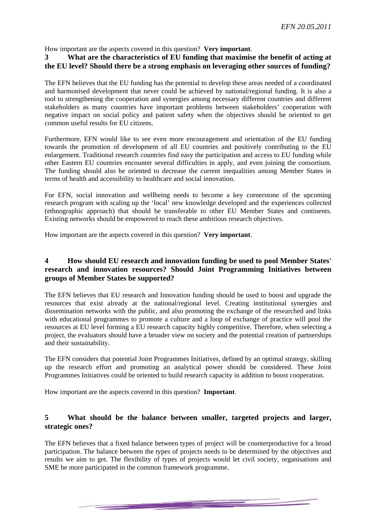How important are the aspects covered in this question? **Very important**.

# **3 What are the characteristics of EU funding that maximise the benefit of acting at the EU level? Should there be a strong emphasis on leveraging other sources of funding?**

The EFN believes that the EU funding has the potential to develop these areas needed of a coordinated and harmonised development that never could be achieved by national/regional funding. It is also a tool to strengthening the cooperation and synergies among necessary different countries and different stakeholders as many countries have important problems between stakeholders' cooperation with negative impact on social policy and patient safety when the objectives should be oriented to get common useful results for EU citizens.

Furthermore, EFN would like to see even more encouragement and orientation of the EU funding towards the promotion of development of all EU countries and positively contributing to the EU enlargement. Traditional research countries find easy the participation and access to EU funding while other Eastern EU countries encounter several difficulties in apply, and even joining the consortium. The funding should also be oriented to decrease the current inequalities among Member States in terms of health and accessibility to healthcare and social innovation.

For EFN, social innovation and wellbeing needs to become a key cornerstone of the upcoming research program with scaling up the 'local' new knowledge developed and the experiences collected (ethnographic approach) that should be transferable to other EU Member States and continents. Existing networks should be empowered to reach these ambitious research objectives.

How important are the aspects covered in this question? **Very important**.

# **4 How should EU research and innovation funding be used to pool Member States' research and innovation resources? Should Joint Programming Initiatives between groups of Member States be supported?**

The EFN believes that EU research and Innovation funding should be used to boost and upgrade the resources that exist already at the national/regional level. Creating institutional synergies and dissemination networks with the public, and also promoting the exchange of the researched and links with educational programmes to promote a culture and a loop of exchange of practice will pool the resources at EU level forming a EU research capacity highly competitive. Therefore, when selecting a project, the evaluators should have a broader view on society and the potential creation of partnerships and their sustainability.

The EFN considers that potential Joint Programmes Initiatives, defined by an optimal strategy, skilling up the research effort and promoting an analytical power should be considered. These Joint Programmes Initiatives could be oriented to build research capacity in addition to boost cooperation.

How important are the aspects covered in this question? **Important**.

# **5 What should be the balance between smaller, targeted projects and larger, strategic ones?**

The EFN believes that a fixed balance between types of project will be counterproductive for a broad participation. The balance between the types of projects needs to be determined by the objectives and results we aim to get. The flexibility of types of projects would let civil society, organisations and SME be more participated in the common framework programme.

<u>en de la companya del companya del companya del companya del companya del companya del companya del companya del companya del companya del companya del companya del companya del companya del companya del companya del comp</u>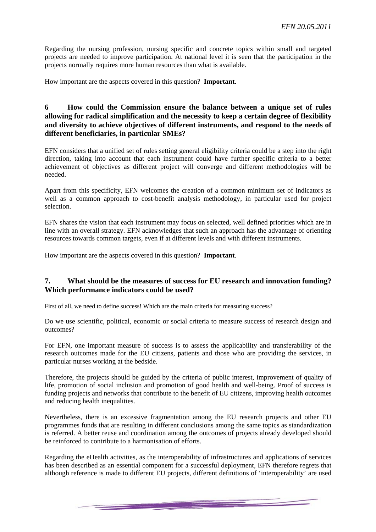Regarding the nursing profession, nursing specific and concrete topics within small and targeted projects are needed to improve participation. At national level it is seen that the participation in the projects normally requires more human resources than what is available.

How important are the aspects covered in this question? **Important**.

## **6 How could the Commission ensure the balance between a unique set of rules allowing for radical simplification and the necessity to keep a certain degree of flexibility and diversity to achieve objectives of different instruments, and respond to the needs of different beneficiaries, in particular SMEs?**

EFN considers that a unified set of rules setting general eligibility criteria could be a step into the right direction, taking into account that each instrument could have further specific criteria to a better achievement of objectives as different project will converge and different methodologies will be needed.

Apart from this specificity, EFN welcomes the creation of a common minimum set of indicators as well as a common approach to cost-benefit analysis methodology, in particular used for project selection.

EFN shares the vision that each instrument may focus on selected, well defined priorities which are in line with an overall strategy. EFN acknowledges that such an approach has the advantage of orienting resources towards common targets, even if at different levels and with different instruments.

How important are the aspects covered in this question? **Important**.

#### **7. What should be the measures of success for EU research and innovation funding? Which performance indicators could be used?**

First of all, we need to define success! Which are the main criteria for measuring success?

Do we use scientific, political, economic or social criteria to measure success of research design and outcomes?

For EFN, one important measure of success is to assess the applicability and transferability of the research outcomes made for the EU citizens, patients and those who are providing the services, in particular nurses working at the bedside.

Therefore, the projects should be guided by the criteria of public interest, improvement of quality of life, promotion of social inclusion and promotion of good health and well-being. Proof of success is funding projects and networks that contribute to the benefit of EU citizens, improving health outcomes and reducing health inequalities.

Nevertheless, there is an excessive fragmentation among the EU research projects and other EU programmes funds that are resulting in different conclusions among the same topics as standardization is referred. A better reuse and coordination among the outcomes of projects already developed should be reinforced to contribute to a harmonisation of efforts.

Regarding the eHealth activities, as the interoperability of infrastructures and applications of services has been described as an essential component for a successful deployment, EFN therefore regrets that although reference is made to different EU projects, different definitions of 'interoperability' are used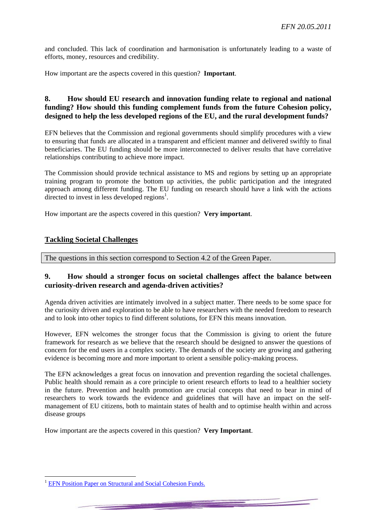and concluded. This lack of coordination and harmonisation is unfortunately leading to a waste of efforts, money, resources and credibility.

How important are the aspects covered in this question? **Important**.

#### **8. How should EU research and innovation funding relate to regional and national funding? How should this funding complement funds from the future Cohesion policy, designed to help the less developed regions of the EU, and the rural development funds?**

EFN believes that the Commission and regional governments should simplify procedures with a view to ensuring that funds are allocated in a transparent and efficient manner and delivered swiftly to final beneficiaries. The EU funding should be more interconnected to deliver results that have correlative relationships contributing to achieve more impact.

The Commission should provide technical assistance to MS and regions by setting up an appropriate training program to promote the bottom up activities, the public participation and the integrated approach among different funding. The EU funding on research should have a link with the actions directed to invest in less developed regions<sup>1</sup>.

How important are the aspects covered in this question? **Very important**.

#### **Tackling Societal Challenges**

The questions in this section correspond to Section 4.2 of the Green Paper.

#### **9. How should a stronger focus on societal challenges affect the balance between curiosity-driven research and agenda-driven activities?**

Agenda driven activities are intimately involved in a subject matter. There needs to be some space for the curiosity driven and exploration to be able to have researchers with the needed freedom to research and to look into other topics to find different solutions, for EFN this means innovation.

However, EFN welcomes the stronger focus that the Commission is giving to orient the future framework for research as we believe that the research should be designed to answer the questions of concern for the end users in a complex society. The demands of the society are growing and gathering evidence is becoming more and more important to orient a sensible policy-making process.

The EFN acknowledges a great focus on innovation and prevention regarding the societal challenges. Public health should remain as a core principle to orient research efforts to lead to a healthier society in the future. Prevention and health promotion are crucial concepts that need to bear in mind of researchers to work towards the evidence and guidelines that will have an impact on the selfmanagement of EU citizens, both to maintain states of health and to optimise health within and across disease groups

How important are the aspects covered in this question? **Very Important**.

**EFN Position Paper on Structural and Social Cohesion Funds.**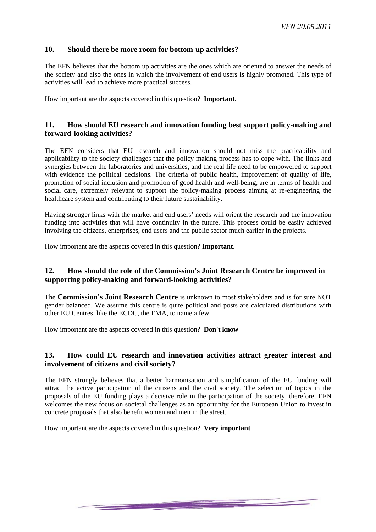## **10. Should there be more room for bottom-up activities?**

The EFN believes that the bottom up activities are the ones which are oriented to answer the needs of the society and also the ones in which the involvement of end users is highly promoted. This type of activities will lead to achieve more practical success.

How important are the aspects covered in this question? **Important**.

#### **11. How should EU research and innovation funding best support policy-making and forward-looking activities?**

The EFN considers that EU research and innovation should not miss the practicability and applicability to the society challenges that the policy making process has to cope with. The links and synergies between the laboratories and universities, and the real life need to be empowered to support with evidence the political decisions. The criteria of public health, improvement of quality of life, promotion of social inclusion and promotion of good health and well-being, are in terms of health and social care, extremely relevant to support the policy-making process aiming at re-engineering the healthcare system and contributing to their future sustainability.

Having stronger links with the market and end users' needs will orient the research and the innovation funding into activities that will have continuity in the future. This process could be easily achieved involving the citizens, enterprises, end users and the public sector much earlier in the projects.

How important are the aspects covered in this question? **Important**.

# **12. How should the role of the Commission's Joint Research Centre be improved in supporting policy-making and forward-looking activities?**

The **Commission's Joint Research Centre** is unknown to most stakeholders and is for sure NOT gender balanced. We assume this centre is quite political and posts are calculated distributions with other EU Centres, like the ECDC, the EMA, to name a few.

How important are the aspects covered in this question? **Don't know** 

#### **13. How could EU research and innovation activities attract greater interest and involvement of citizens and civil society?**

The EFN strongly believes that a better harmonisation and simplification of the EU funding will attract the active participation of the citizens and the civil society. The selection of topics in the proposals of the EU funding plays a decisive role in the participation of the society, therefore, EFN welcomes the new focus on societal challenges as an opportunity for the European Union to invest in concrete proposals that also benefit women and men in the street.

and the company of the company of the company of the company of the company of the company of the company of the

How important are the aspects covered in this question? **Very important**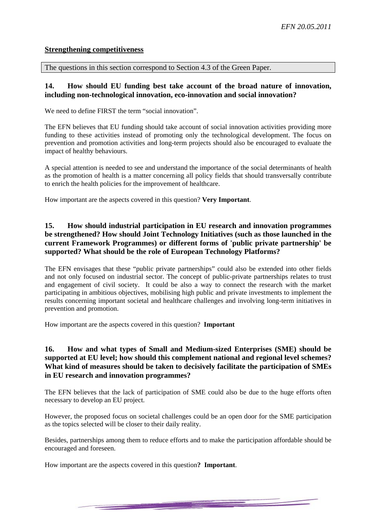#### **Strengthening competitiveness**

The questions in this section correspond to Section 4.3 of the Green Paper.

#### **14. How should EU funding best take account of the broad nature of innovation, including non-technological innovation, eco-innovation and social innovation?**

We need to define FIRST the term "social innovation".

The EFN believes that EU funding should take account of social innovation activities providing more funding to these activities instead of promoting only the technological development. The focus on prevention and promotion activities and long-term projects should also be encouraged to evaluate the impact of healthy behaviours.

A special attention is needed to see and understand the importance of the social determinants of health as the promotion of health is a matter concerning all policy fields that should transversally contribute to enrich the health policies for the improvement of healthcare.

How important are the aspects covered in this question? **Very Important**.

# **15. How should industrial participation in EU research and innovation programmes be strengthened? How should Joint Technology Initiatives (such as those launched in the current Framework Programmes) or different forms of 'public private partnership' be supported? What should be the role of European Technology Platforms?**

The EFN envisages that these "public private partnerships" could also be extended into other fields and not only focused on industrial sector. The concept of public-private partnerships relates to trust and engagement of civil society. It could be also a way to connect the research with the market participating in ambitious objectives, mobilising high public and private investments to implement the results concerning important societal and healthcare challenges and involving long-term initiatives in prevention and promotion.

How important are the aspects covered in this question? **Important** 

# **16. How and what types of Small and Medium-sized Enterprises (SME) should be supported at EU level; how should this complement national and regional level schemes? What kind of measures should be taken to decisively facilitate the participation of SMEs in EU research and innovation programmes?**

The EFN believes that the lack of participation of SME could also be due to the huge efforts often necessary to develop an EU project.

However, the proposed focus on societal challenges could be an open door for the SME participation as the topics selected will be closer to their daily reality.

Besides, partnerships among them to reduce efforts and to make the participation affordable should be encouraged and foreseen.

How important are the aspects covered in this question**? Important**.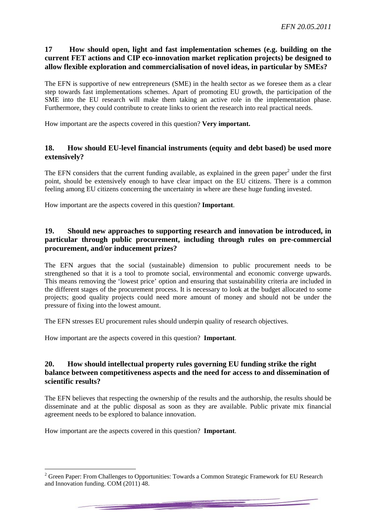# **17 How should open, light and fast implementation schemes (e.g. building on the current FET actions and CIP eco-innovation market replication projects) be designed to allow flexible exploration and commercialisation of novel ideas, in particular by SMEs?**

The EFN is supportive of new entrepreneurs (SME) in the health sector as we foresee them as a clear step towards fast implementations schemes. Apart of promoting EU growth, the participation of the SME into the EU research will make them taking an active role in the implementation phase. Furthermore, they could contribute to create links to orient the research into real practical needs.

How important are the aspects covered in this question? **Very important.** 

## **18. How should EU-level financial instruments (equity and debt based) be used more extensively?**

The EFN considers that the current funding available, as explained in the green paper<sup>2</sup> under the first point, should be extensively enough to have clear impact on the EU citizens. There is a common feeling among EU citizens concerning the uncertainty in where are these huge funding invested.

How important are the aspects covered in this question? **Important**.

# **19. Should new approaches to supporting research and innovation be introduced, in particular through public procurement, including through rules on pre-commercial procurement, and/or inducement prizes?**

The EFN argues that the social (sustainable) dimension to public procurement needs to be strengthened so that it is a tool to promote social, environmental and economic converge upwards. This means removing the 'lowest price' option and ensuring that sustainability criteria are included in the different stages of the procurement process. It is necessary to look at the budget allocated to some projects; good quality projects could need more amount of money and should not be under the pressure of fixing into the lowest amount.

The EFN stresses EU procurement rules should underpin quality of research objectives.

How important are the aspects covered in this question? **Important**.

# **20. How should intellectual property rules governing EU funding strike the right balance between competitiveness aspects and the need for access to and dissemination of scientific results?**

The EFN believes that respecting the ownership of the results and the authorship, the results should be disseminate and at the public disposal as soon as they are available. Public private mix financial agreement needs to be explored to balance innovation.

How important are the aspects covered in this question? **Important**.

1

 $2$  Green Paper: From Challenges to Opportunities: Towards a Common Strategic Framework for EU Research and Innovation funding. COM (2011) 48.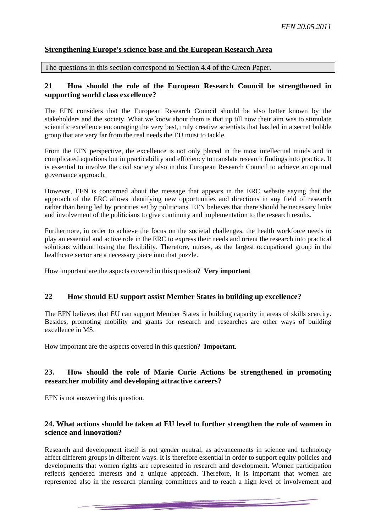# **Strengthening Europe's science base and the European Research Area**

The questions in this section correspond to Section 4.4 of the Green Paper.

#### **21 How should the role of the European Research Council be strengthened in supporting world class excellence?**

The EFN considers that the European Research Council should be also better known by the stakeholders and the society. What we know about them is that up till now their aim was to stimulate scientific excellence encouraging the very best, truly creative scientists that has led in a secret bubble group that are very far from the real needs the EU must to tackle.

From the EFN perspective, the excellence is not only placed in the most intellectual minds and in complicated equations but in practicability and efficiency to translate research findings into practice. It is essential to involve the civil society also in this European Research Council to achieve an optimal governance approach.

However, EFN is concerned about the message that appears in the ERC website saying that the approach of the ERC allows identifying new opportunities and directions in any field of research rather than being led by priorities set by politicians. EFN believes that there should be necessary links and involvement of the politicians to give continuity and implementation to the research results.

Furthermore, in order to achieve the focus on the societal challenges, the health workforce needs to play an essential and active role in the ERC to express their needs and orient the research into practical solutions without losing the flexibility. Therefore, nurses, as the largest occupational group in the healthcare sector are a necessary piece into that puzzle.

How important are the aspects covered in this question? **Very important** 

#### **22 How should EU support assist Member States in building up excellence?**

The EFN believes that EU can support Member States in building capacity in areas of skills scarcity. Besides, promoting mobility and grants for research and researches are other ways of building excellence in MS.

How important are the aspects covered in this question? **Important**.

# **23. How should the role of Marie Curie Actions be strengthened in promoting researcher mobility and developing attractive careers?**

EFN is not answering this question.

# **24. What actions should be taken at EU level to further strengthen the role of women in science and innovation?**

Research and development itself is not gender neutral, as advancements in science and technology affect different groups in different ways. It is therefore essential in order to support equity policies and developments that women rights are represented in research and development. Women participation reflects gendered interests and a unique approach. Therefore, it is important that women are represented also in the research planning committees and to reach a high level of involvement and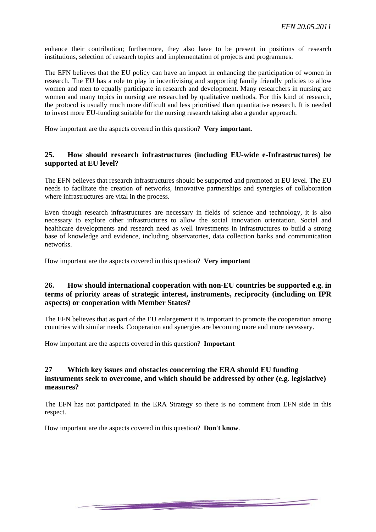enhance their contribution; furthermore, they also have to be present in positions of research institutions, selection of research topics and implementation of projects and programmes.

The EFN believes that the EU policy can have an impact in enhancing the participation of women in research. The EU has a role to play in incentivising and supporting family friendly policies to allow women and men to equally participate in research and development. Many researchers in nursing are women and many topics in nursing are researched by qualitative methods. For this kind of research, the protocol is usually much more difficult and less prioritised than quantitative research. It is needed to invest more EU-funding suitable for the nursing research taking also a gender approach.

How important are the aspects covered in this question? **Very important.**

#### **25. How should research infrastructures (including EU-wide e-Infrastructures) be supported at EU level?**

The EFN believes that research infrastructures should be supported and promoted at EU level. The EU needs to facilitate the creation of networks, innovative partnerships and synergies of collaboration where infrastructures are vital in the process.

Even though research infrastructures are necessary in fields of science and technology, it is also necessary to explore other infrastructures to allow the social innovation orientation. Social and healthcare developments and research need as well investments in infrastructures to build a strong base of knowledge and evidence, including observatories, data collection banks and communication networks.

How important are the aspects covered in this question? **Very important**

#### **26. How should international cooperation with non-EU countries be supported e.g. in terms of priority areas of strategic interest, instruments, reciprocity (including on IPR aspects) or cooperation with Member States?**

The EFN believes that as part of the EU enlargement it is important to promote the cooperation among countries with similar needs. Cooperation and synergies are becoming more and more necessary.

How important are the aspects covered in this question? **Important**

# **27 Which key issues and obstacles concerning the ERA should EU funding instruments seek to overcome, and which should be addressed by other (e.g. legislative) measures?**

The EFN has not participated in the ERA Strategy so there is no comment from EFN side in this respect.

<u> Andrew Maria (1985)</u>

How important are the aspects covered in this question? **Don't know**.